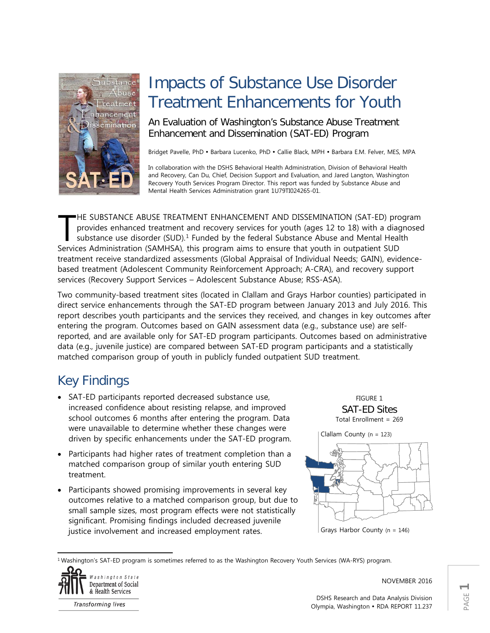

# Impacts of Substance Use Disorder Treatment Enhancements for Youth

An Evaluation of Washington's Substance Abuse Treatment Enhancement and Dissemination (SAT-ED) Program

Bridget Pavelle, PhD · Barbara Lucenko, PhD · Callie Black, MPH · Barbara E.M. Felver, MES, MPA

In collaboration with the DSHS Behavioral Health Administration, Division of Behavioral Health and Recovery, Can Du, Chief, Decision Support and Evaluation, and Jared Langton, Washington Recovery Youth Services Program Director. This report was funded by Substance Abuse and Mental Health Services Administration grant 1U79TI024265-01.

HE SUBSTANCE ABUSE TREATMENT ENHANCEMENT AND DISSEMINATION (SAT-ED) program provides enhanced treatment and recovery services for youth (ages 12 to 18) with a diagnosed substance use disorder  $(SUD)$ .<sup>[1](#page-0-0)</sup> Funded by the federal Substance Abuse and Mental Health HE SUBSTANCE ABUSE TREATMENT ENHANCEMENT AND DISSEMINATION (SAT-ED) pro<br>provides enhanced treatment and recovery services for youth (ages 12 to 18) with a diag<br>substance use disorder (SUD).<sup>1</sup> Funded by the federal Substan treatment receive standardized assessments (Global Appraisal of Individual Needs; GAIN), evidencebased treatment (Adolescent Community Reinforcement Approach; A-CRA), and recovery support services (Recovery Support Services – Adolescent Substance Abuse; RSS-ASA).

Two community-based treatment sites (located in Clallam and Grays Harbor counties) participated in direct service enhancements through the SAT-ED program between January 2013 and July 2016. This report describes youth participants and the services they received, and changes in key outcomes after entering the program. Outcomes based on GAIN assessment data (e.g., substance use) are selfreported, and are available only for SAT-ED program participants. Outcomes based on administrative data (e.g., juvenile justice) are compared between SAT-ED program participants and a statistically matched comparison group of youth in publicly funded outpatient SUD treatment.

# Key Findings

- SAT-ED participants reported decreased substance use, increased confidence about resisting relapse, and improved school outcomes 6 months after entering the program. Data were unavailable to determine whether these changes were driven by specific enhancements under the SAT-ED program.
- Participants had higher rates of treatment completion than a matched comparison group of similar youth entering SUD treatment.
- Participants showed promising improvements in several key outcomes relative to a matched comparison group, but due to small sample sizes, most program effects were not statistically significant. Promising findings included decreased juvenile justice involvement and increased employment rates.

FIGURE 1 SAT-ED Sites Total Enrollment = 269



<span id="page-0-0"></span><sup>1</sup> Washington's SAT-ED program is sometimes referred to as the Washington Recovery Youth Services (WA-RYS) program.



 $\overline{\phantom{a}}$ 

NOVEMBER 2016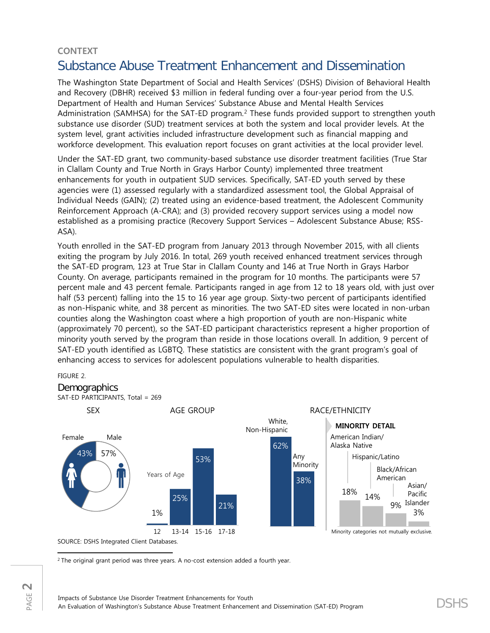# **CONTEXT** Substance Abuse Treatment Enhancement and Dissemination

The Washington State Department of Social and Health Services' (DSHS) Division of Behavioral Health and Recovery (DBHR) received \$3 million in federal funding over a four-year period from the U.S. Department of Health and Human Services' Substance Abuse and Mental Health Services Administration (SAMHSA) for the SAT-ED program.<sup>[2](#page-1-0)</sup> These funds provided support to strengthen youth substance use disorder (SUD) treatment services at both the system and local provider levels. At the system level, grant activities included infrastructure development such as financial mapping and workforce development. This evaluation report focuses on grant activities at the local provider level.

Under the SAT-ED grant, two community-based substance use disorder treatment facilities (True Star in Clallam County and True North in Grays Harbor County) implemented three treatment enhancements for youth in outpatient SUD services. Specifically, SAT-ED youth served by these agencies were (1) assessed regularly with a standardized assessment tool, the Global Appraisal of Individual Needs (GAIN); (2) treated using an evidence-based treatment, the Adolescent Community Reinforcement Approach (A-CRA); and (3) provided recovery support services using a model now established as a promising practice (Recovery Support Services – Adolescent Substance Abuse; RSS-ASA).

Youth enrolled in the SAT-ED program from January 2013 through November 2015, with all clients exiting the program by July 2016. In total, 269 youth received enhanced treatment services through the SAT-ED program, 123 at True Star in Clallam County and 146 at True North in Grays Harbor County. On average, participants remained in the program for 10 months. The participants were 57 percent male and 43 percent female. Participants ranged in age from 12 to 18 years old, with just over half (53 percent) falling into the 15 to 16 year age group. Sixty-two percent of participants identified as non-Hispanic white, and 38 percent as minorities. The two SAT-ED sites were located in non-urban counties along the Washington coast where a high proportion of youth are non-Hispanic white (approximately 70 percent), so the SAT-ED participant characteristics represent a higher proportion of minority youth served by the program than reside in those locations overall. In addition, 9 percent of SAT-ED youth identified as LGBTQ. These statistics are consistent with the grant program's goal of enhancing access to services for adolescent populations vulnerable to health disparities.

#### FIGURE 2.

<span id="page-1-0"></span>PAGE **2**

### **Demographics**



SOURCE: DSHS Integrated Client Databases.

 $\overline{\phantom{a}}$ <sup>2</sup> The original grant period was three years. A no-cost extension added a fourth year.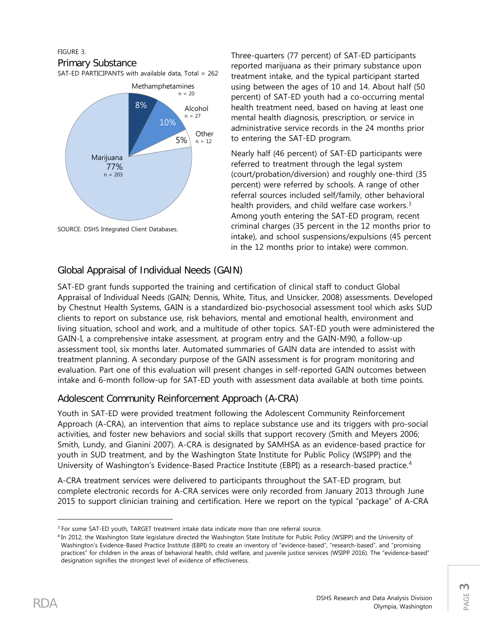#### FIGURE 3.

#### Primary Substance

SAT-ED PARTICIPANTS with available data, Total = 262



SOURCE: DSHS Integrated Client Databases.

Three-quarters (77 percent) of SAT-ED participants reported marijuana as their primary substance upon treatment intake, and the typical participant started using between the ages of 10 and 14. About half (50 percent) of SAT-ED youth had a co-occurring mental health treatment need, based on having at least one mental health diagnosis, prescription, or service in administrative service records in the 24 months prior to entering the SAT-ED program.

Nearly half (46 percent) of SAT-ED participants were referred to treatment through the legal system (court/probation/diversion) and roughly one-third (35 percent) were referred by schools. A range of other referral sources included self/family, other behavioral health providers, and child welfare case workers.<sup>[3](#page-2-0)</sup> Among youth entering the SAT-ED program, recent criminal charges (35 percent in the 12 months prior to intake), and school suspensions/expulsions (45 percent in the 12 months prior to intake) were common.

## Global Appraisal of Individual Needs (GAIN)

SAT-ED grant funds supported the training and certification of clinical staff to conduct Global Appraisal of Individual Needs (GAIN; Dennis, White, Titus, and Unsicker, 2008) assessments. Developed by Chestnut Health Systems, GAIN is a standardized bio-psychosocial assessment tool which asks SUD clients to report on substance use, risk behaviors, mental and emotional health, environment and living situation, school and work, and a multitude of other topics. SAT-ED youth were administered the GAIN-I, a comprehensive intake assessment, at program entry and the GAIN-M90, a follow-up assessment tool, six months later. Automated summaries of GAIN data are intended to assist with treatment planning. A secondary purpose of the GAIN assessment is for program monitoring and evaluation. Part one of this evaluation will present changes in self-reported GAIN outcomes between intake and 6-month follow-up for SAT-ED youth with assessment data available at both time points.

# Adolescent Community Reinforcement Approach (A-CRA)

Youth in SAT-ED were provided treatment following the Adolescent Community Reinforcement Approach (A-CRA), an intervention that aims to replace substance use and its triggers with pro-social activities, and foster new behaviors and social skills that support recovery (Smith and Meyers 2006; Smith, Lundy, and Gianini 2007). A-CRA is designated by SAMHSA as an evidence-based practice for youth in SUD treatment, and by the Washington State Institute for Public Policy (WSIPP) and the University of Washington's Evidence-Based Practice Institute (EBPI) as a research-based practice.<sup>[4](#page-2-1)</sup>

A-CRA treatment services were delivered to participants throughout the SAT-ED program, but complete electronic records for A-CRA services were only recorded from January 2013 through June 2015 to support clinician training and certification. Here we report on the typical "package" of A-CRA

 $\overline{\phantom{a}}$ 

<span id="page-2-0"></span><sup>&</sup>lt;sup>3</sup> For some SAT-ED youth, TARGET treatment intake data indicate more than one referral source.

<span id="page-2-1"></span><sup>4</sup> In 2012, the Washington State legislature directed the Washington State Institute for Public Policy (WSIPP) and the University of Washington's Evidence-Based Practice Institute (EBPI) to create an inventory of "evidence-based", "research-based", and "promising practices" for children in the areas of behavioral health, child welfare, and juvenile justice services (WSIPP 2016). The "evidence-based" designation signifies the strongest level of evidence of effectiveness.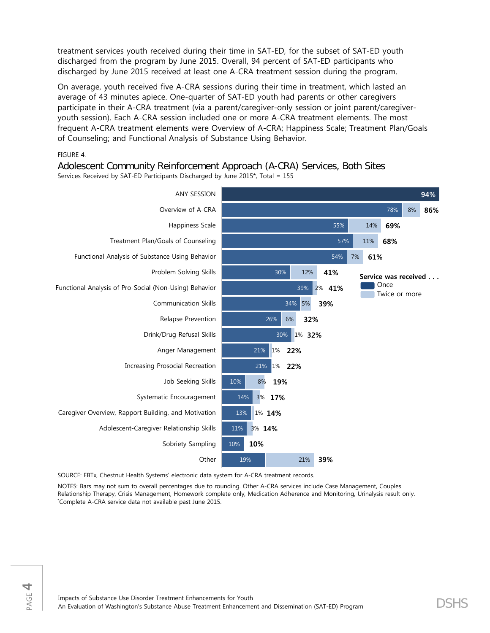treatment services youth received during their time in SAT-ED, for the subset of SAT-ED youth discharged from the program by June 2015. Overall, 94 percent of SAT-ED participants who discharged by June 2015 received at least one A-CRA treatment session during the program.

On average, youth received five A-CRA sessions during their time in treatment, which lasted an average of 43 minutes apiece. One-quarter of SAT-ED youth had parents or other caregivers participate in their A-CRA treatment (via a parent/caregiver-only session or joint parent/caregiveryouth session). Each A-CRA session included one or more A-CRA treatment elements. The most frequent A-CRA treatment elements were Overview of A-CRA; Happiness Scale; Treatment Plan/Goals of Counseling; and Functional Analysis of Substance Using Behavior.

#### FIGURE 4.

Adolescent Community Reinforcement Approach (A-CRA) Services, Both Sites Services Received by SAT-ED Participants Discharged by June 2015\*, Total = 155



SOURCE: EBTx, Chestnut Health Systems' electronic data system for A-CRA treatment records.

NOTES: Bars may not sum to overall percentages due to rounding. Other A-CRA services include Case Management, Couples Relationship Therapy, Crisis Management, Homework complete only, Medication Adherence and Monitoring, Urinalysis result only. \* Complete A-CRA service data not available past June 2015.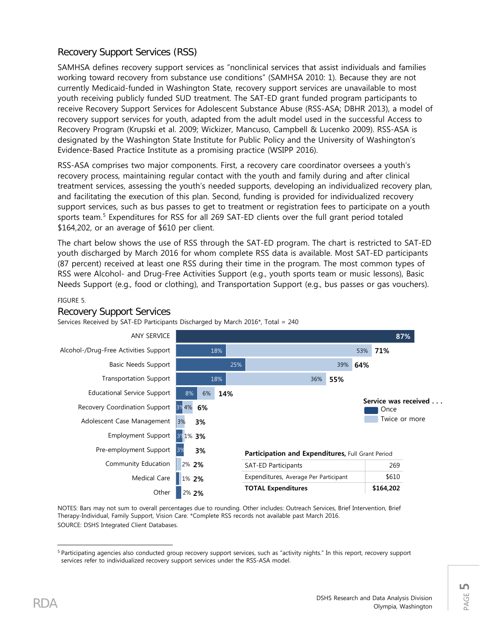# Recovery Support Services (RSS)

SAMHSA defines recovery support services as "nonclinical services that assist individuals and families working toward recovery from substance use conditions" (SAMHSA 2010: 1). Because they are not currently Medicaid-funded in Washington State, recovery support services are unavailable to most youth receiving publicly funded SUD treatment. The SAT-ED grant funded program participants to receive Recovery Support Services for Adolescent Substance Abuse (RSS-ASA; DBHR 2013), a model of recovery support services for youth, adapted from the adult model used in the successful Access to Recovery Program (Krupski et al. 2009; Wickizer, Mancuso, Campbell & Lucenko 2009). RSS-ASA is designated by the Washington State Institute for Public Policy and the University of Washington's Evidence-Based Practice Institute as a promising practice (WSIPP 2016).

RSS-ASA comprises two major components. First, a recovery care coordinator oversees a youth's recovery process, maintaining regular contact with the youth and family during and after clinical treatment services, assessing the youth's needed supports, developing an individualized recovery plan, and facilitating the execution of this plan. Second, funding is provided for individualized recovery support services, such as bus passes to get to treatment or registration fees to participate on a youth sports team. [5](#page-4-0) Expenditures for RSS for all 269 SAT-ED clients over the full grant period totaled \$164,202, or an average of \$610 per client.

The chart below shows the use of RSS through the SAT-ED program. The chart is restricted to SAT-ED youth discharged by March 2016 for whom complete RSS data is available. Most SAT-ED participants (87 percent) received at least one RSS during their time in the program. The most common types of RSS were Alcohol- and Drug-Free Activities Support (e.g., youth sports team or music lessons), Basic Needs Support (e.g., food or clothing), and Transportation Support (e.g., bus passes or gas vouchers).

#### FIGURE 5.

#### **87%** 18% 25% 18% 8% 3% 4% 3% 1% **2%** 3% 2% **1%** 53% **71%** 39% 36% 6% 3% 2% **1%** 1% **1%** ANY SERVICE Alcohol-/Drug-Free Activities Support Basic Needs Support Transportation Support Educational Service Support Recovery Coordination Support Adolescent Case Management Employment Support Pre-employment Support Community Education Medical Care **Other 53% 44% 13% 5% 2% 2%** Participation and Expenditures, Full Grant Period SAT-ED Participants 269 Expenditures, Average Per Participant | \$610 TOTAL Expenditures **\$164,202 Service was received ...** Once Twice or more

### Recovery Support Services

Services Received by SAT-ED Participants Discharged by March 2016\*, Total = 240

NOTES: Bars may not sum to overall percentages due to rounding. Other includes: Outreach Services, Brief Intervention, Brief Therapy-Individual, Family Support, Vision Care. \*Complete RSS records not available past March 2016. SOURCE: DSHS Integrated Client Databases.

<span id="page-4-0"></span>l <sup>5</sup> Participating agencies also conducted group recovery support services, such as "activity nights." In this report, recovery support services refer to individualized recovery support services under the RSS-ASA model.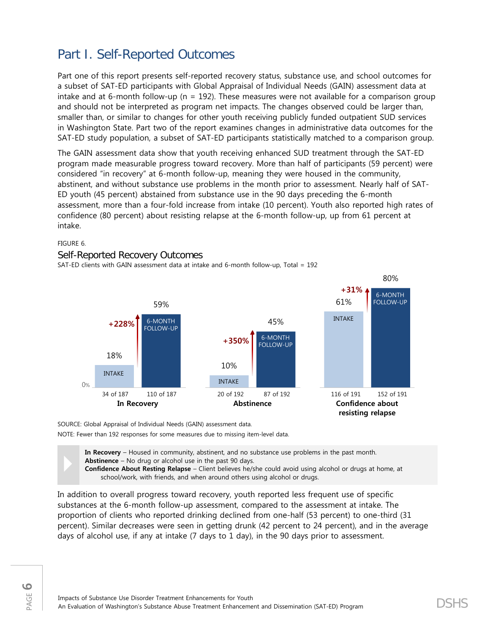# Part I. Self-Reported Outcomes

Part one of this report presents self-reported recovery status, substance use, and school outcomes for a subset of SAT-ED participants with Global Appraisal of Individual Needs (GAIN) assessment data at intake and at 6-month follow-up ( $n = 192$ ). These measures were not available for a comparison group and should not be interpreted as program net impacts. The changes observed could be larger than, smaller than, or similar to changes for other youth receiving publicly funded outpatient SUD services in Washington State. Part two of the report examines changes in administrative data outcomes for the SAT-ED study population, a subset of SAT-ED participants statistically matched to a comparison group.

The GAIN assessment data show that youth receiving enhanced SUD treatment through the SAT-ED program made measurable progress toward recovery. More than half of participants (59 percent) were considered "in recovery" at 6-month follow-up, meaning they were housed in the community, abstinent, and without substance use problems in the month prior to assessment. Nearly half of SAT-ED youth (45 percent) abstained from substance use in the 90 days preceding the 6-month assessment, more than a four-fold increase from intake (10 percent). Youth also reported high rates of confidence (80 percent) about resisting relapse at the 6-month follow-up, up from 61 percent at intake.

FIGURE 6.

#### Self-Reported Recovery Outcomes

SAT-ED clients with GAIN assessment data at intake and 6-month follow-up, Total = 192



SOURCE: Global Appraisal of Individual Needs (GAIN) assessment data.

NOTE: Fewer than 192 responses for some measures due to missing item-level data.

**In Recovery** – Housed in community, abstinent, and no substance use problems in the past month. **Abstinence** – No drug or alcohol use in the past 90 days.

**Confidence About Resting Relapse** – Client believes he/she could avoid using alcohol or drugs at home, at school/work, with friends, and when around others using alcohol or drugs.

In addition to overall progress toward recovery, youth reported less frequent use of specific substances at the 6-month follow-up assessment, compared to the assessment at intake. The proportion of clients who reported drinking declined from one-half (53 percent) to one-third (31 percent). Similar decreases were seen in getting drunk (42 percent to 24 percent), and in the average days of alcohol use, if any at intake (7 days to 1 day), in the 90 days prior to assessment.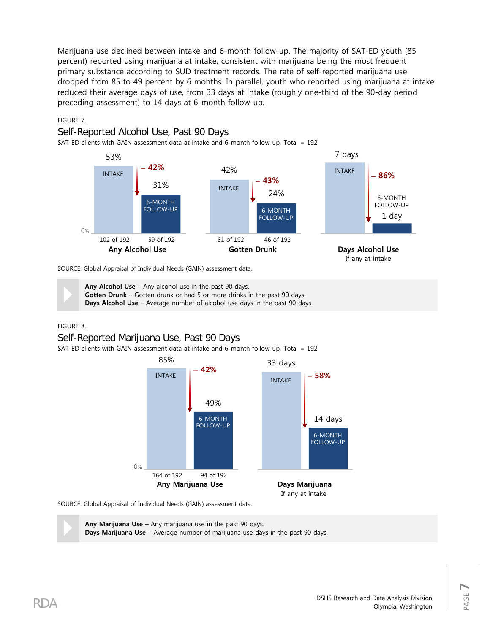Marijuana use declined between intake and 6-month follow-up. The majority of SAT-ED youth (85 percent) reported using marijuana at intake, consistent with marijuana being the most frequent primary substance according to SUD treatment records. The rate of self-reported marijuana use dropped from 85 to 49 percent by 6 months. In parallel, youth who reported using marijuana at intake reduced their average days of use, from 33 days at intake (roughly one-third of the 90-day period preceding assessment) to 14 days at 6-month follow-up.

#### FIGURE 7.



SAT-ED clients with GAIN assessment data at intake and 6-month follow-up, Total = 192



#### SOURCE: Global Appraisal of Individual Needs (GAIN) assessment data.

**Any Alcohol Use** – Any alcohol use in the past 90 days.<br>**Gotten Drunk** – Gotten drunk or had 5 or more drinks in **Days Alcohol Use** – Average number of alcohol use day **Gotten Drunk** – Gotten drunk or had 5 or more drinks in the past 90 days. **Days Alcohol Use** – Average number of alcohol use days in the past 90 days.

#### FIGURE 8.

## Self-Reported Marijuana Use, Past 90 Days

SAT-ED clients with GAIN assessment data at intake and 6-month follow-up, Total = 192



SOURCE: Global Appraisal of Individual Needs (GAIN) assessment data.

 **Any Marijuana Use** – Any marijuana use in the past 90 days. **Days Marijuana Use** – Average number of marijuana use days in the past 90 days.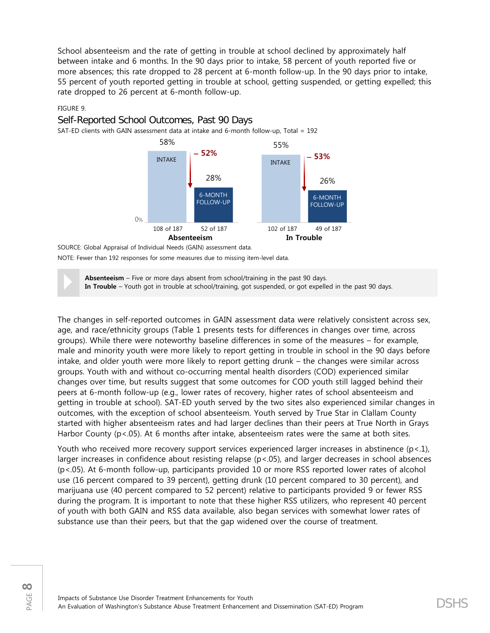School absenteeism and the rate of getting in trouble at school declined by approximately half between intake and 6 months. In the 90 days prior to intake, 58 percent of youth reported five or more absences; this rate dropped to 28 percent at 6-month follow-up. In the 90 days prior to intake, 55 percent of youth reported getting in trouble at school, getting suspended, or getting expelled; this rate dropped to 26 percent at 6-month follow-up.

#### FIGURE 9.

### Self-Reported School Outcomes, Past 90 Days

SAT-ED clients with GAIN assessment data at intake and 6-month follow-up, Total = 192



SOURCE: Global Appraisal of Individual Needs (GAIN) assessment data. NOTE: Fewer than 192 responses for some measures due to missing item-level data.

**Absenteeism** – Five or more days absent from school/training in the past 90 days.<br> **In Trouble** – Youth got in trouble at school/training, got suspended, or got expelled in the past 90 days.

The changes in self-reported outcomes in GAIN assessment data were relatively consistent across sex, age, and race/ethnicity groups (Table 1 presents tests for differences in changes over time, across groups). While there were noteworthy baseline differences in some of the measures – for example, male and minority youth were more likely to report getting in trouble in school in the 90 days before intake, and older youth were more likely to report getting drunk – the changes were similar across groups. Youth with and without co-occurring mental health disorders (COD) experienced similar changes over time, but results suggest that some outcomes for COD youth still lagged behind their peers at 6-month follow-up (e.g., lower rates of recovery, higher rates of school absenteeism and getting in trouble at school). SAT-ED youth served by the two sites also experienced similar changes in outcomes, with the exception of school absenteeism. Youth served by True Star in Clallam County started with higher absenteeism rates and had larger declines than their peers at True North in Grays Harbor County (p<.05). At 6 months after intake, absenteeism rates were the same at both sites.

Youth who received more recovery support services experienced larger increases in abstinence  $(p<1)$ , larger increases in confidence about resisting relapse (p<.05), and larger decreases in school absences (p<.05). At 6-month follow-up, participants provided 10 or more RSS reported lower rates of alcohol use (16 percent compared to 39 percent), getting drunk (10 percent compared to 30 percent), and marijuana use (40 percent compared to 52 percent) relative to participants provided 9 or fewer RSS during the program. It is important to note that these higher RSS utilizers, who represent 40 percent of youth with both GAIN and RSS data available, also began services with somewhat lower rates of substance use than their peers, but that the gap widened over the course of treatment.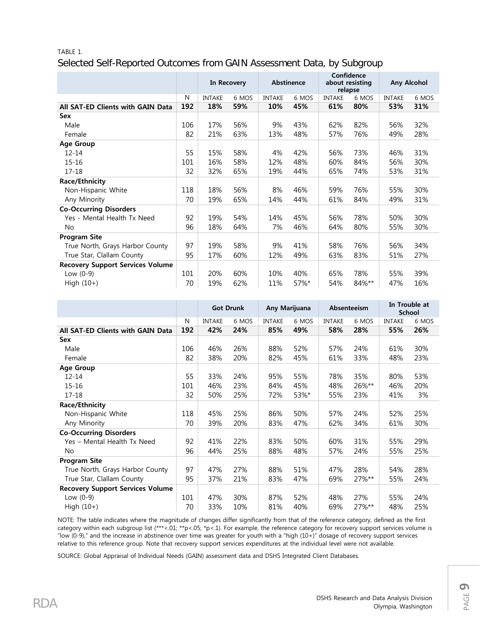# TABLE 1. Selected Self-Reported Outcomes from GAIN Assessment Data, by Subgroup

|                                         |     | Abstinence<br>In Recovery |       | Confidence<br>about resisting<br>relapse |       | Any Alcohol   |       |               |       |
|-----------------------------------------|-----|---------------------------|-------|------------------------------------------|-------|---------------|-------|---------------|-------|
|                                         | N   | <b>INTAKE</b>             | 6 MOS | <b>INTAKE</b>                            | 6 MOS | <b>INTAKE</b> | 6 MOS | <b>INTAKE</b> | 6 MOS |
| All SAT-ED Clients with GAIN Data       | 192 | 18%                       | 59%   | 10%                                      | 45%   | 61%           | 80%   | 53%           | 31%   |
| Sex                                     |     |                           |       |                                          |       |               |       |               |       |
| Male                                    | 106 | 17%                       | 56%   | 9%                                       | 43%   | 62%           | 82%   | 56%           | 32%   |
| Female                                  | 82  | 21%                       | 63%   | 13%                                      | 48%   | 57%           | 76%   | 49%           | 28%   |
| <b>Age Group</b>                        |     |                           |       |                                          |       |               |       |               |       |
| $12 - 14$                               | 55  | 15%                       | 58%   | 4%                                       | 42%   | 56%           | 73%   | 46%           | 31%   |
| $15 - 16$                               | 101 | 16%                       | 58%   | 12%                                      | 48%   | 60%           | 84%   | 56%           | 30%   |
| $17 - 18$                               | 32  | 32%                       | 65%   | 19%                                      | 44%   | 65%           | 74%   | 53%           | 31%   |
| <b>Race/Ethnicity</b>                   |     |                           |       |                                          |       |               |       |               |       |
| Non-Hispanic White                      | 118 | 18%                       | 56%   | 8%                                       | 46%   | 59%           | 76%   | 55%           | 30%   |
| Any Minority                            | 70  | 19%                       | 65%   | 14%                                      | 44%   | 61%           | 84%   | 49%           | 31%   |
| <b>Co-Occurring Disorders</b>           |     |                           |       |                                          |       |               |       |               |       |
| Yes - Mental Health Tx Need             | 92  | 19%                       | 54%   | 14%                                      | 45%   | 56%           | 78%   | 50%           | 30%   |
| No                                      | 96  | 18%                       | 64%   | 7%                                       | 46%   | 64%           | 80%   | 55%           | 30%   |
| <b>Program Site</b>                     |     |                           |       |                                          |       |               |       |               |       |
| True North, Grays Harbor County         | 97  | 19%                       | 58%   | 9%                                       | 41%   | 58%           | 76%   | 56%           | 34%   |
| True Star, Clallam County               | 95  | 17%                       | 60%   | 12%                                      | 49%   | 63%           | 83%   | 51%           | 27%   |
| <b>Recovery Support Services Volume</b> |     |                           |       |                                          |       |               |       |               |       |
| Low $(0-9)$                             | 101 | 20%                       | 60%   | 10%                                      | 40%   | 65%           | 78%   | 55%           | 39%   |
| High $(10+)$                            | 70  | 19%                       | 62%   | 11%                                      | 57%*  | 54%           | 84%** | 47%           | 16%   |

|                                         |     | Any Marijuana<br><b>Got Drunk</b> |       | Absenteeism   |       | In Trouble at<br><b>School</b> |          |               |       |
|-----------------------------------------|-----|-----------------------------------|-------|---------------|-------|--------------------------------|----------|---------------|-------|
|                                         | N   | <b>INTAKE</b>                     | 6 MOS | <b>INTAKE</b> | 6 MOS | <b>INTAKE</b>                  | 6 MOS    | <b>INTAKE</b> | 6 MOS |
| All SAT-ED Clients with GAIN Data       | 192 | 42%                               | 24%   | 85%           | 49%   | 58%                            | 28%      | 55%           | 26%   |
| Sex                                     |     |                                   |       |               |       |                                |          |               |       |
| Male                                    | 106 | 46%                               | 26%   | 88%           | 52%   | 57%                            | 24%      | 61%           | 30%   |
| Female                                  | 82  | 38%                               | 20%   | 82%           | 45%   | 61%                            | 33%      | 48%           | 23%   |
| <b>Age Group</b>                        |     |                                   |       |               |       |                                |          |               |       |
| $12 - 14$                               | 55  | 33%                               | 24%   | 95%           | 55%   | 78%                            | 35%      | 80%           | 53%   |
| $15 - 16$                               | 101 | 46%                               | 23%   | 84%           | 45%   | 48%                            | 26%**    | 46%           | 20%   |
| $17 - 18$                               | 32  | 50%                               | 25%   | 72%           | 53%*  | 55%                            | 23%      | 41%           | 3%    |
| <b>Race/Ethnicity</b>                   |     |                                   |       |               |       |                                |          |               |       |
| Non-Hispanic White                      | 118 | 45%                               | 25%   | 86%           | 50%   | 57%                            | 24%      | 52%           | 25%   |
| Any Minority                            | 70  | 39%                               | 20%   | 83%           | 47%   | 62%                            | 34%      | 61%           | 30%   |
| <b>Co-Occurring Disorders</b>           |     |                                   |       |               |       |                                |          |               |       |
| Yes - Mental Health Tx Need             | 92  | 41%                               | 22%   | 83%           | 50%   | 60%                            | 31%      | 55%           | 29%   |
| No                                      | 96  | 44%                               | 25%   | 88%           | 48%   | 57%                            | 24%      | 55%           | 25%   |
| <b>Program Site</b>                     |     |                                   |       |               |       |                                |          |               |       |
| True North, Grays Harbor County         | 97  | 47%                               | 27%   | 88%           | 51%   | 47%                            | 28%      | 54%           | 28%   |
| True Star, Clallam County               | 95  | 37%                               | 21%   | 83%           | 47%   | 69%                            | $27\%**$ | 55%           | 24%   |
| <b>Recovery Support Services Volume</b> |     |                                   |       |               |       |                                |          |               |       |
| Low $(0-9)$                             | 101 | 47%                               | 30%   | 87%           | 52%   | 48%                            | 27%      | 55%           | 24%   |
| High $(10+)$                            | 70  | 33%                               | 10%   | 81%           | 40%   | 69%                            | 27%**    | 48%           | 25%   |

NOTE: The table indicates where the magnitude of changes differ significantly from that of the reference category, defined as the first category within each subgroup list (\*\*\*<.01; \*\*p<.05; \*p<.1). For example, the reference category for recovery support services volume is "low (0-9)," and the increase in abstinence over time was greater for youth with a "high (10+)" dosage of recovery support services relative to this reference group. Note that recovery support services expenditures at the individual level were not available.

SOURCE: Global Appraisal of Individual Needs (GAIN) assessment data and DSHS Integrated Client Databases.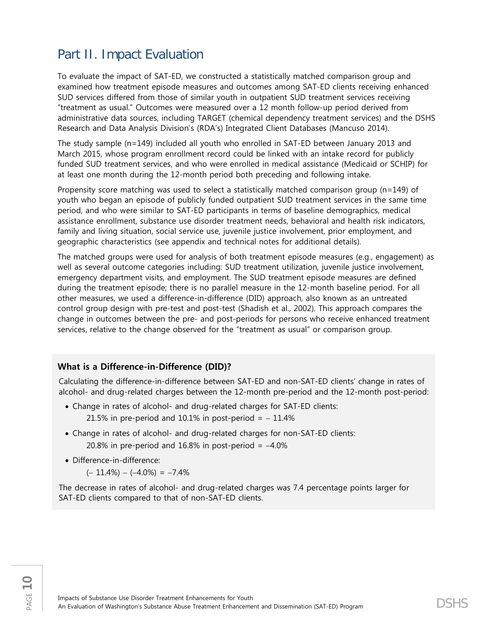# Part II. Impact Evaluation

To evaluate the impact of SAT-ED, we constructed a statistically matched comparison group and examined how treatment episode measures and outcomes among SAT-ED clients receiving enhanced SUD services differed from those of similar youth in outpatient SUD treatment services receiving "treatment as usual." Outcomes were measured over a 12 month follow-up period derived from administrative data sources, including TARGET (chemical dependency treatment services) and the DSHS Research and Data Analysis Division's (RDA's) Integrated Client Databases (Mancuso 2014).

The study sample (n=149) included all youth who enrolled in SAT-ED between January 2013 and March 2015, whose program enrollment record could be linked with an intake record for publicly funded SUD treatment services, and who were enrolled in medical assistance (Medicaid or SCHIP) for at least one month during the 12-month period both preceding and following intake.

Propensity score matching was used to select a statistically matched comparison group (n=149) of youth who began an episode of publicly funded outpatient SUD treatment services in the same time period, and who were similar to SAT-ED participants in terms of baseline demographics, medical assistance enrollment, substance use disorder treatment needs, behavioral and health risk indicators, family and living situation, social service use, juvenile justice involvement, prior employment, and geographic characteristics (see appendix and technical notes for additional details).

The matched groups were used for analysis of both treatment episode measures (e.g., engagement) as well as several outcome categories including: SUD treatment utilization, juvenile justice involvement, emergency department visits, and employment. The SUD treatment episode measures are defined during the treatment episode; there is no parallel measure in the 12-month baseline period. For all other measures, we used a difference-in-difference (DID) approach, also known as an untreated control group design with pre-test and post-test (Shadish et al., 2002). This approach compares the change in outcomes between the pre- and post-periods for persons who receive enhanced treatment services, relative to the change observed for the "treatment as usual" or comparison group.

## **What is a Difference-in-Difference (DID)?**

Calculating the difference-in-difference between SAT-ED and non-SAT-ED clients' change in rates of alcohol- and drug-related charges between the 12-month pre-period and the 12-month post-period:

- Change in rates of alcohol- and drug-related charges for SAT-ED clients: 21.5% in pre-period and 10.1% in post-period  $= -11.4%$
- Change in rates of alcohol- and drug-related charges for non-SAT-ED clients: 20.8% in pre-period and  $16.8\%$  in post-period =  $-4.0\%$
- Difference-in-difference:
	- $(-11.4\%) (-4.0\%) = -7.4\%$

The decrease in rates of alcohol- and drug-related charges was 7.4 percentage points larger for SAT-ED clients compared to that of non-SAT-ED clients.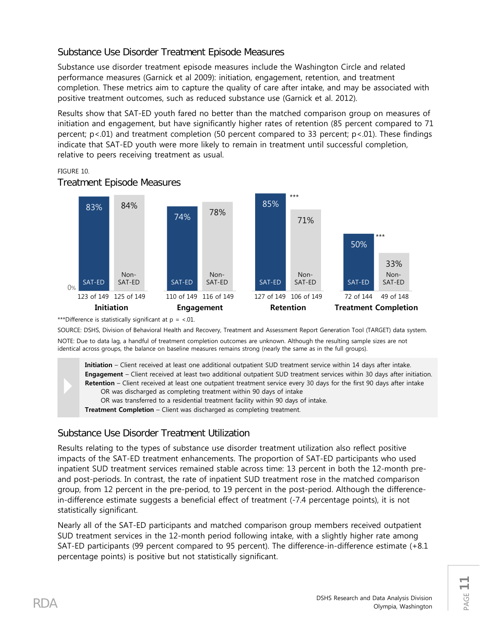# Substance Use Disorder Treatment Episode Measures

Substance use disorder treatment episode measures include the Washington Circle and related performance measures (Garnick et al 2009): initiation, engagement, retention, and treatment completion. These metrics aim to capture the quality of care after intake, and may be associated with positive treatment outcomes, such as reduced substance use (Garnick et al. 2012).

Results show that SAT-ED youth fared no better than the matched comparison group on measures of initiation and engagement, but have significantly higher rates of retention (85 percent compared to 71 percent; p<.01) and treatment completion (50 percent compared to 33 percent; p<.01). These findings indicate that SAT-ED youth were more likely to remain in treatment until successful completion, relative to peers receiving treatment as usual.

#### FIGURE 10.



### Treatment Episode Measures

\*\*\*Difference is statistically significant at  $p = 0.01$ .

SOURCE: DSHS, Division of Behavioral Health and Recovery, Treatment and Assessment Report Generation Tool (TARGET) data system. NOTE: Due to data lag, a handful of treatment completion outcomes are unknown. Although the resulting sample sizes are not identical across groups, the balance on baseline measures remains strong (nearly the same as in the full groups).

**Initiation** – Client received at least one additional outpatient SUD treatment service within 14 days after intake. **Engagement** – Client received at least two additional outpatient SUD treatment services within 30 days after initiation. **Retention** – Client received at least one outpatient treatment service every 30 days for the first 90 days after intake OR was discharged as completing treatment within 90 days of intake OR was transferred to a residential treatment facility within 90 days of intake.

**Treatment Completion** – Client was discharged as completing treatment.

# Substance Use Disorder Treatment Utilization

Results relating to the types of substance use disorder treatment utilization also reflect positive impacts of the SAT-ED treatment enhancements. The proportion of SAT-ED participants who used inpatient SUD treatment services remained stable across time: 13 percent in both the 12-month preand post-periods. In contrast, the rate of inpatient SUD treatment rose in the matched comparison group, from 12 percent in the pre-period, to 19 percent in the post-period. Although the differencein-difference estimate suggests a beneficial effect of treatment (-7.4 percentage points), it is not statistically significant.

Nearly all of the SAT-ED participants and matched comparison group members received outpatient SUD treatment services in the 12-month period following intake, with a slightly higher rate among SAT-ED participants (99 percent compared to 95 percent). The difference-in-difference estimate (+8.1 percentage points) is positive but not statistically significant.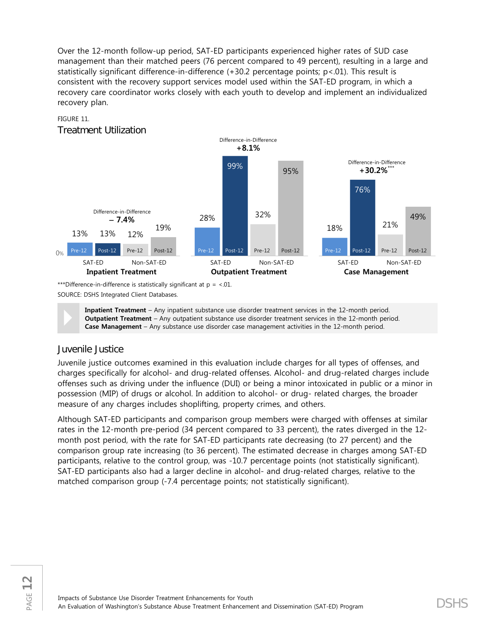Over the 12-month follow-up period, SAT-ED participants experienced higher rates of SUD case management than their matched peers (76 percent compared to 49 percent), resulting in a large and statistically significant difference-in-difference (+30.2 percentage points; p<.01). This result is consistent with the recovery support services model used within the SAT-ED program, in which a recovery care coordinator works closely with each youth to develop and implement an individualized recovery plan.

#### FIGURE 11.

Treatment Utilization



\*\*\*Difference-in-difference is statistically significant at  $p = <.01$ . SOURCE: DSHS Integrated Client Databases.

**Inpatient Treatment** – Any inpatient substance use disorder treatment services in the 12-month period.<br>**Outpatient Treatment** – Any outpatient substance use disorder treatment services in the 12-month period.<br>**Case Manage Outpatient Treatment** – Any outpatient substance use disorder treatment services in the 12-month period. **Case Management** – Any substance use disorder case management activities in the 12-month period.

# Juvenile Justice

Juvenile justice outcomes examined in this evaluation include charges for all types of offenses, and charges specifically for alcohol- and drug-related offenses. Alcohol- and drug-related charges include offenses such as driving under the influence (DUI) or being a minor intoxicated in public or a minor in possession (MIP) of drugs or alcohol. In addition to alcohol- or drug- related charges, the broader measure of any charges includes shoplifting, property crimes, and others.

Although SAT-ED participants and comparison group members were charged with offenses at similar rates in the 12-month pre-period (34 percent compared to 33 percent), the rates diverged in the 12 month post period, with the rate for SAT-ED participants rate decreasing (to 27 percent) and the comparison group rate increasing (to 36 percent). The estimated decrease in charges among SAT-ED participants, relative to the control group, was -10.7 percentage points (not statistically significant). SAT-ED participants also had a larger decline in alcohol- and drug-related charges, relative to the matched comparison group (-7.4 percentage points; not statistically significant).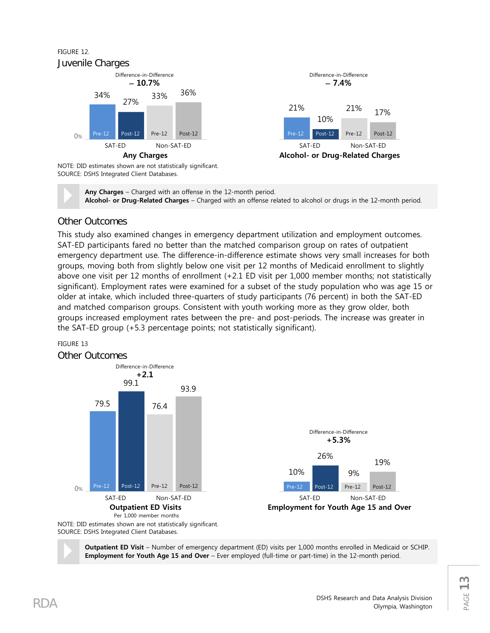### FIGURE 12. Juvenile Charges



**Any Charges** – Charged with an offense in the 12-month period. **Alcohol- or Drug-Related Charges** – Charged with an offense related to alcohol or drugs in the 12-month period.

21%

17%

### Other Outcomes

This study also examined changes in emergency department utilization and employment outcomes. SAT-ED participants fared no better than the matched comparison group on rates of outpatient emergency department use. The difference-in-difference estimate shows very small increases for both groups, moving both from slightly below one visit per 12 months of Medicaid enrollment to slightly above one visit per 12 months of enrollment (+2.1 ED visit per 1,000 member months; not statistically significant). Employment rates were examined for a subset of the study population who was age 15 or older at intake, which included three-quarters of study participants (76 percent) in both the SAT-ED and matched comparison groups. Consistent with youth working more as they grow older, both groups increased employment rates between the pre- and post-periods. The increase was greater in the SAT-ED group (+5.3 percentage points; not statistically significant).

#### FIGURE 13



SOURCE: DSHS Integrated Client Databases.

 **Outpatient ED Visit** – Number of emergency department (ED) visits per 1,000 months enrolled in Medicaid or SCHIP. **Employment for Youth Age 15 and Over** – Ever employed (full-time or part-time) in the 12-month period.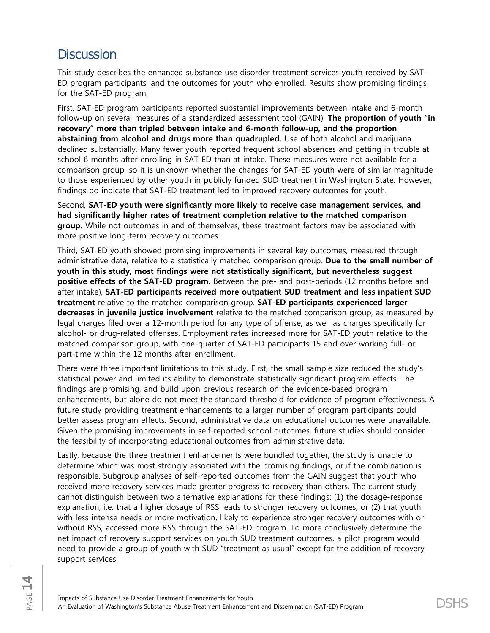# **Discussion**

This study describes the enhanced substance use disorder treatment services youth received by SAT-ED program participants, and the outcomes for youth who enrolled. Results show promising findings for the SAT-ED program.

First, SAT-ED program participants reported substantial improvements between intake and 6-month follow-up on several measures of a standardized assessment tool (GAIN). **The proportion of youth "in recovery" more than tripled between intake and 6-month follow-up, and the proportion abstaining from alcohol and drugs more than quadrupled.** Use of both alcohol and marijuana declined substantially. Many fewer youth reported frequent school absences and getting in trouble at school 6 months after enrolling in SAT-ED than at intake. These measures were not available for a comparison group, so it is unknown whether the changes for SAT-ED youth were of similar magnitude to those experienced by other youth in publicly funded SUD treatment in Washington State. However, findings do indicate that SAT-ED treatment led to improved recovery outcomes for youth.

Second, **SAT-ED youth were significantly more likely to receive case management services, and had significantly higher rates of treatment completion relative to the matched comparison group.** While not outcomes in and of themselves, these treatment factors may be associated with more positive long-term recovery outcomes.

Third, SAT-ED youth showed promising improvements in several key outcomes, measured through administrative data, relative to a statistically matched comparison group. **Due to the small number of youth in this study, most findings were not statistically significant, but nevertheless suggest positive effects of the SAT-ED program.** Between the pre- and post-periods (12 months before and after intake), **SAT-ED participants received more outpatient SUD treatment and less inpatient SUD treatment** relative to the matched comparison group. **SAT-ED participants experienced larger decreases in juvenile justice involvement** relative to the matched comparison group, as measured by legal charges filed over a 12-month period for any type of offense, as well as charges specifically for alcohol- or drug-related offenses. Employment rates increased more for SAT-ED youth relative to the matched comparison group, with one-quarter of SAT-ED participants 15 and over working full- or part-time within the 12 months after enrollment.

There were three important limitations to this study. First, the small sample size reduced the study's statistical power and limited its ability to demonstrate statistically significant program effects. The findings are promising, and build upon previous research on the evidence-based program enhancements, but alone do not meet the standard threshold for evidence of program effectiveness. A future study providing treatment enhancements to a larger number of program participants could better assess program effects. Second, administrative data on educational outcomes were unavailable. Given the promising improvements in self-reported school outcomes, future studies should consider the feasibility of incorporating educational outcomes from administrative data.

Lastly, because the three treatment enhancements were bundled together, the study is unable to determine which was most strongly associated with the promising findings, or if the combination is responsible. Subgroup analyses of self-reported outcomes from the GAIN suggest that youth who received more recovery services made greater progress to recovery than others. The current study cannot distinguish between two alternative explanations for these findings: (1) the dosage-response explanation, i.e. that a higher dosage of RSS leads to stronger recovery outcomes; or (2) that youth with less intense needs or more motivation, likely to experience stronger recovery outcomes with or without RSS, accessed more RSS through the SAT-ED program. To more conclusively determine the net impact of recovery support services on youth SUD treatment outcomes, a pilot program would need to provide a group of youth with SUD "treatment as usual" except for the addition of recovery support services.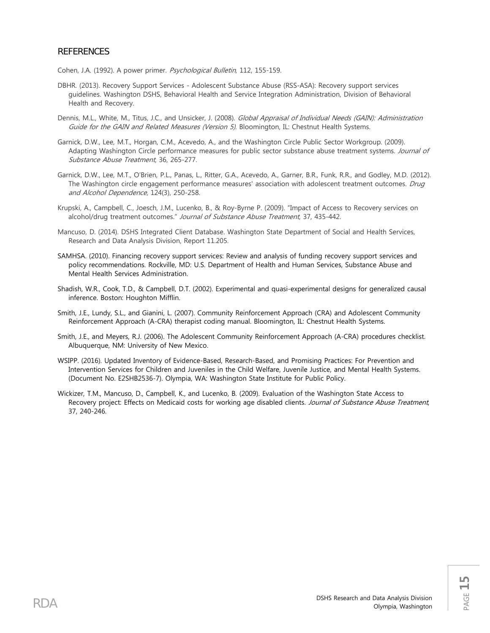#### **REFERENCES**

Cohen, J.A. (1992). A power primer. Psychological Bulletin, 112, 155-159.

- DBHR. (2013). Recovery Support Services Adolescent Substance Abuse (RSS-ASA): Recovery support services guidelines. Washington DSHS, Behavioral Health and Service Integration Administration, Division of Behavioral Health and Recovery.
- Dennis, M.L., White, M., Titus, J.C., and Unsicker, J. (2008). Global Appraisal of Individual Needs (GAIN): Administration Guide for the GAIN and Related Measures (Version 5). Bloomington, IL: Chestnut Health Systems.
- Garnick, D.W., Lee, M.T., Horgan, C.M., Acevedo, A., and the Washington Circle Public Sector Workgroup. (2009). Adapting Washington Circle performance measures for public sector substance abuse treatment systems. Journal of Substance Abuse Treatment, 36, 265-277.
- Garnick, D.W., Lee, M.T., O'Brien, P.L., Panas, L., Ritter, G.A., Acevedo, A., Garner, B.R., Funk, R.R., and Godley, M.D. (2012). The Washington circle engagement performance measures' association with adolescent treatment outcomes. Drug and Alcohol Dependence, 124(3), 250-258.
- Krupski, A., Campbell, C., Joesch, J.M., Lucenko, B., & Roy-Byrne P. (2009). "Impact of Access to Recovery services on alcohol/drug treatment outcomes." Journal of Substance Abuse Treatment, 37, 435-442.
- Mancuso, D. (2014). DSHS Integrated Client Database. Washington State Department of Social and Health Services, Research and Data Analysis Division, Report 11.205.
- SAMHSA. (2010). Financing recovery support services: Review and analysis of funding recovery support services and policy recommendations. Rockville, MD: U.S. Department of Health and Human Services, Substance Abuse and Mental Health Services Administration.
- Shadish, W.R., Cook, T.D., & Campbell, D.T. (2002). Experimental and quasi-experimental designs for generalized causal inference. Boston: Houghton Mifflin.
- Smith, J.E., Lundy, S.L., and Gianini, L. (2007). Community Reinforcement Approach (CRA) and Adolescent Community Reinforcement Approach (A-CRA) therapist coding manual. Bloomington, IL: Chestnut Health Systems.
- Smith, J.E., and Meyers, R.J. (2006). The Adolescent Community Reinforcement Approach (A-CRA) procedures checklist. Albuquerque, NM: University of New Mexico.
- WSIPP. (2016). Updated Inventory of Evidence-Based, Research-Based, and Promising Practices: For Prevention and Intervention Services for Children and Juveniles in the Child Welfare, Juvenile Justice, and Mental Health Systems. (Document No. E2SHB2536-7). Olympia, WA: Washington State Institute for Public Policy.
- Wickizer, T.M., Mancuso, D., Campbell, K., and Lucenko, B. (2009). Evaluation of the Washington State Access to Recovery project: Effects on Medicaid costs for working age disabled clients. Journal of Substance Abuse Treatment, 37, 240-246.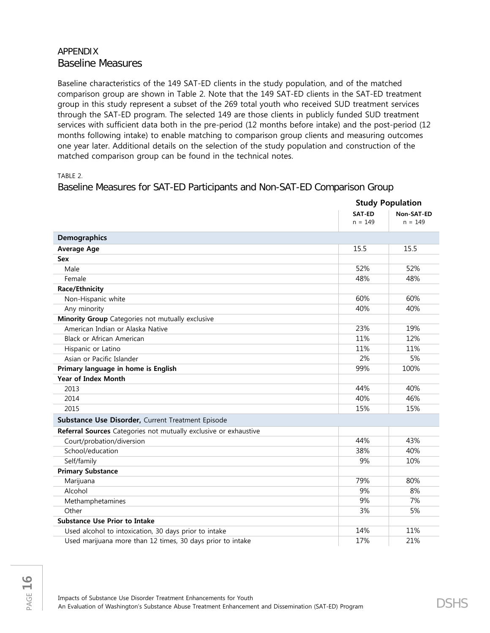# APPENDIX Baseline Measures

Baseline characteristics of the 149 SAT-ED clients in the study population, and of the matched comparison group are shown in Table 2. Note that the 149 SAT-ED clients in the SAT-ED treatment group in this study represent a subset of the 269 total youth who received SUD treatment services through the SAT-ED program. The selected 149 are those clients in publicly funded SUD treatment services with sufficient data both in the pre-period (12 months before intake) and the post-period (12 months following intake) to enable matching to comparison group clients and measuring outcomes one year later. Additional details on the selection of the study population and construction of the matched comparison group can be found in the technical notes.

TABLE 2.

Baseline Measures for SAT-ED Participants and Non-SAT-ED Comparison Group

|                                                                  |                     | <b>Study Population</b> |  |  |
|------------------------------------------------------------------|---------------------|-------------------------|--|--|
|                                                                  | SAT-ED<br>$n = 149$ | Non-SAT-ED<br>$n = 149$ |  |  |
| <b>Demographics</b>                                              |                     |                         |  |  |
| <b>Average Age</b>                                               | 15.5                | 15.5                    |  |  |
| Sex                                                              |                     |                         |  |  |
| Male                                                             | 52%                 | 52%                     |  |  |
| Female                                                           | 48%                 | 48%                     |  |  |
| <b>Race/Ethnicity</b>                                            |                     |                         |  |  |
| Non-Hispanic white                                               | 60%                 | 60%                     |  |  |
| Any minority                                                     | 40%                 | 40%                     |  |  |
| Minority Group Categories not mutually exclusive                 |                     |                         |  |  |
| American Indian or Alaska Native                                 | 23%                 | 19%                     |  |  |
| Black or African American                                        | 11%                 | 12%                     |  |  |
| Hispanic or Latino                                               | 11%                 | 11%                     |  |  |
| Asian or Pacific Islander                                        | 2%                  | 5%                      |  |  |
| Primary language in home is English                              | 99%                 | 100%                    |  |  |
| <b>Year of Index Month</b>                                       |                     |                         |  |  |
| 2013                                                             | 44%                 | 40%                     |  |  |
| 2014                                                             | 40%                 | 46%                     |  |  |
| 2015                                                             | 15%                 | 15%                     |  |  |
| Substance Use Disorder, Current Treatment Episode                |                     |                         |  |  |
| Referral Sources Categories not mutually exclusive or exhaustive |                     |                         |  |  |
| Court/probation/diversion                                        | 44%                 | 43%                     |  |  |
| School/education                                                 | 38%                 | 40%                     |  |  |
| Self/family                                                      | 9%                  | 10%                     |  |  |
| <b>Primary Substance</b>                                         |                     |                         |  |  |
| Marijuana                                                        | 79%                 | 80%                     |  |  |
| Alcohol                                                          | 9%                  | 8%                      |  |  |
| Methamphetamines                                                 | 9%                  | 7%                      |  |  |
| Other                                                            | 3%                  | 5%                      |  |  |
| <b>Substance Use Prior to Intake</b>                             |                     |                         |  |  |
| Used alcohol to intoxication, 30 days prior to intake            | 14%                 | 11%                     |  |  |
| Used marijuana more than 12 times, 30 days prior to intake       | 17%                 | 21%                     |  |  |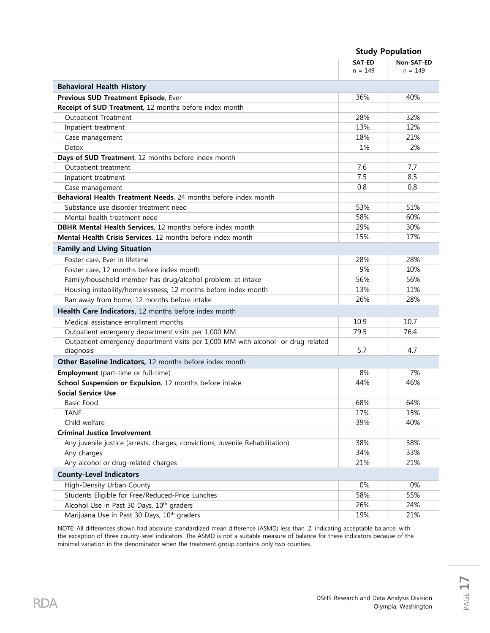|                                                                                                | <b>Study Population</b> |            |  |
|------------------------------------------------------------------------------------------------|-------------------------|------------|--|
|                                                                                                | SAT-ED                  | Non-SAT-ED |  |
|                                                                                                | $n = 149$               | $n = 149$  |  |
| <b>Behavioral Health History</b>                                                               |                         |            |  |
| Previous SUD Treatment Episode, Ever                                                           | 36%                     | 40%        |  |
| Receipt of SUD Treatment, 12 months before index month                                         |                         |            |  |
| <b>Outpatient Treatment</b>                                                                    | 28%                     | 32%        |  |
| Inpatient treatment                                                                            | 13%                     | 12%        |  |
| Case management                                                                                | 18%                     | 21%        |  |
| Detox                                                                                          | 1%                      | 2%         |  |
| Days of SUD Treatment, 12 months before index month                                            |                         |            |  |
| Outpatient treatment                                                                           | 7.6                     | 7.7        |  |
| Inpatient treatment                                                                            | 7.5                     | 8.5        |  |
| Case management                                                                                | 0.8                     | 0.8        |  |
| Behavioral Health Treatment Needs, 24 months before index month                                |                         |            |  |
| Substance use disorder treatment need                                                          | 53%                     | 51%        |  |
| Mental health treatment need                                                                   | 58%                     | 60%        |  |
| <b>DBHR Mental Health Services</b> , 12 months before index month                              | 29%                     | 30%        |  |
| Mental Health Crisis Services, 12 months before index month                                    | 15%                     | 17%        |  |
| <b>Family and Living Situation</b>                                                             |                         |            |  |
| Foster care, Ever in lifetime                                                                  | 28%                     | 28%        |  |
| Foster care, 12 months before index month                                                      | 9%                      | 10%        |  |
| Family/household member has drug/alcohol problem, at intake                                    | 56%                     | 56%        |  |
| Housing instability/homelessness, 12 months before index month                                 | 13%                     | 11%        |  |
| Ran away from home, 12 months before intake                                                    | 26%                     | 28%        |  |
| Health Care Indicators, 12 months before index month                                           |                         |            |  |
| Medical assistance enrollment months                                                           | 10.9                    | 10.7       |  |
| Outpatient emergency department visits per 1,000 MM                                            | 79.5                    | 76.4       |  |
| Outpatient emergency department visits per 1,000 MM with alcohol- or drug-related<br>diagnosis | 5.7                     | 4.7        |  |
| Other Baseline Indicators, 12 months before index month                                        |                         |            |  |
| <b>Employment</b> (part-time or full-time)                                                     | 8%                      | 7%         |  |
| School Suspension or Expulsion, 12 months before intake                                        | 44%                     | 46%        |  |
| <b>Social Service Use</b>                                                                      |                         |            |  |
| Basic Food                                                                                     | 68%                     | 64%        |  |
| <b>TANF</b>                                                                                    | 17%                     | 15%        |  |
| Child welfare                                                                                  | 39%                     | 40%        |  |
| <b>Criminal Justice Involvement</b>                                                            |                         |            |  |
| Any juvenile justice (arrests, charges, convictions, Juvenile Rehabilitation)                  | 38%                     | 38%        |  |
| Any charges                                                                                    | 34%                     | 33%        |  |
| Any alcohol or drug-related charges                                                            | 21%                     | 21%        |  |
| <b>County-Level Indicators</b>                                                                 |                         |            |  |
| High-Density Urban County                                                                      | 0%                      | 0%         |  |
| Students Eligible for Free/Reduced-Price Lunches                                               | 58%                     | 55%        |  |
| Alcohol Use in Past 30 Days, 10 <sup>th</sup> graders                                          | 26%                     | 24%        |  |
| Marijuana Use in Past 30 Days, 10 <sup>th</sup> graders                                        | 19%                     | 21%        |  |

NOTE: All differences shown had absolute standardized mean difference (ASMD) less than .2, indicating acceptable balance, with the exception of three county-level indicators. The ASMD is not a suitable measure of balance for these indicators because of the minimal variation in the denominator when the treatment group contains only two counties.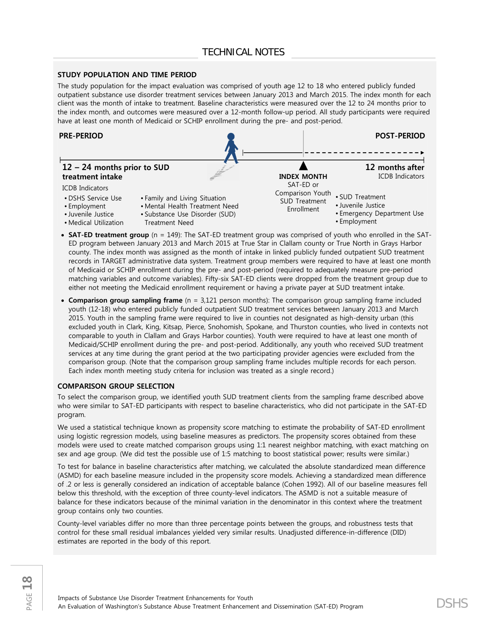#### **STUDY POPULATION AND TIME PERIOD**

The study population for the impact evaluation was comprised of youth age 12 to 18 who entered publicly funded outpatient substance use disorder treatment services between January 2013 and March 2015. The index month for each client was the month of intake to treatment. Baseline characteristics were measured over the 12 to 24 months prior to the index month, and outcomes were measured over a 12-month follow-up period. All study participants were required have at least one month of Medicaid or SCHIP enrollment during the pre- and post-period.



- **SAT-ED treatment group** (n = 149): The SAT-ED treatment group was comprised of youth who enrolled in the SAT-ED program between January 2013 and March 2015 at True Star in Clallam county or True North in Grays Harbor county. The index month was assigned as the month of intake in linked publicly funded outpatient SUD treatment records in TARGET administrative data system. Treatment group members were required to have at least one month of Medicaid or SCHIP enrollment during the pre- and post-period (required to adequately measure pre-period matching variables and outcome variables). Fifty-six SAT-ED clients were dropped from the treatment group due to either not meeting the Medicaid enrollment requirement or having a private payer at SUD treatment intake.
- **Comparison group sampling frame** (n = 3,121 person months): The comparison group sampling frame included youth (12-18) who entered publicly funded outpatient SUD treatment services between January 2013 and March 2015. Youth in the sampling frame were required to live in counties not designated as high-density urban (this excluded youth in Clark, King, Kitsap, Pierce, Snohomish, Spokane, and Thurston counties, who lived in contexts not comparable to youth in Clallam and Grays Harbor counties). Youth were required to have at least one month of Medicaid/SCHIP enrollment during the pre- and post-period. Additionally, any youth who received SUD treatment services at any time during the grant period at the two participating provider agencies were excluded from the comparison group. (Note that the comparison group sampling frame includes multiple records for each person. Each index month meeting study criteria for inclusion was treated as a single record.)

#### **COMPARISON GROUP SELECTION**

To select the comparison group, we identified youth SUD treatment clients from the sampling frame described above who were similar to SAT-ED participants with respect to baseline characteristics, who did not participate in the SAT-ED program.

We used a statistical technique known as propensity score matching to estimate the probability of SAT-ED enrollment using logistic regression models, using baseline measures as predictors. The propensity scores obtained from these models were used to create matched comparison groups using 1:1 nearest neighbor matching, with exact matching on sex and age group. (We did test the possible use of 1:5 matching to boost statistical power; results were similar.)

To test for balance in baseline characteristics after matching, we calculated the absolute standardized mean difference (ASMD) for each baseline measure included in the propensity score models. Achieving a standardized mean difference of .2 or less is generally considered an indication of acceptable balance (Cohen 1992). All of our baseline measures fell below this threshold, with the exception of three county-level indicators. The ASMD is not a suitable measure of balance for these indicators because of the minimal variation in the denominator in this context where the treatment group contains only two counties.

County-level variables differ no more than three percentage points between the groups, and robustness tests that control for these small residual imbalances yielded very similar results. Unadjusted difference-in-difference (DID) estimates are reported in the body of this report.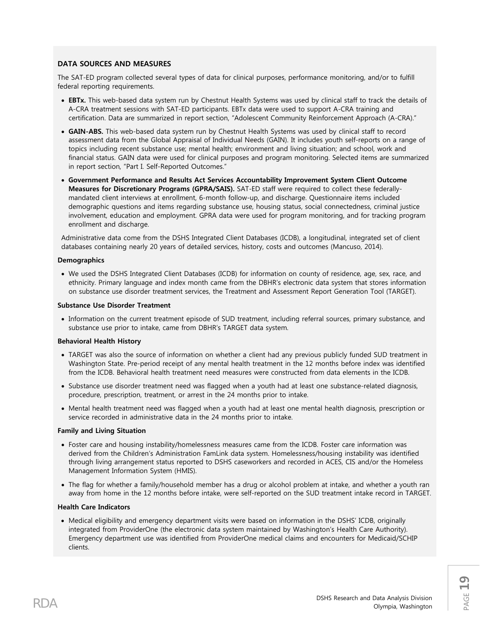#### **DATA SOURCES AND MEASURES**

The SAT-ED program collected several types of data for clinical purposes, performance monitoring, and/or to fulfill federal reporting requirements.

- **EBTx.** This web-based data system run by Chestnut Health Systems was used by clinical staff to track the details of A-CRA treatment sessions with SAT-ED participants. EBTx data were used to support A-CRA training and certification. Data are summarized in report section, "Adolescent Community Reinforcement Approach (A-CRA)."
- **GAIN-ABS.** This web-based data system run by Chestnut Health Systems was used by clinical staff to record assessment data from the Global Appraisal of Individual Needs (GAIN). It includes youth self-reports on a range of topics including recent substance use; mental health; environment and living situation; and school, work and financial status. GAIN data were used for clinical purposes and program monitoring. Selected items are summarized in report section, "Part I. Self-Reported Outcomes."
- **Government Performance and Results Act Services Accountability Improvement System Client Outcome Measures for Discretionary Programs (GPRA/SAIS).** SAT-ED staff were required to collect these federallymandated client interviews at enrollment, 6-month follow-up, and discharge. Questionnaire items included demographic questions and items regarding substance use, housing status, social connectedness, criminal justice involvement, education and employment. GPRA data were used for program monitoring, and for tracking program enrollment and discharge.

Administrative data come from the DSHS Integrated Client Databases (ICDB), a longitudinal, integrated set of client databases containing nearly 20 years of detailed services, history, costs and outcomes (Mancuso, 2014).

#### **Demographics**

• We used the DSHS Integrated Client Databases (ICDB) for information on county of residence, age, sex, race, and ethnicity. Primary language and index month came from the DBHR's electronic data system that stores information on substance use disorder treatment services, the Treatment and Assessment Report Generation Tool (TARGET).

#### **Substance Use Disorder Treatment**

• Information on the current treatment episode of SUD treatment, including referral sources, primary substance, and substance use prior to intake, came from DBHR's TARGET data system.

#### **Behavioral Health History**

- TARGET was also the source of information on whether a client had any previous publicly funded SUD treatment in Washington State. Pre-period receipt of any mental health treatment in the 12 months before index was identified from the ICDB. Behavioral health treatment need measures were constructed from data elements in the ICDB.
- Substance use disorder treatment need was flagged when a youth had at least one substance-related diagnosis, procedure, prescription, treatment, or arrest in the 24 months prior to intake.
- Mental health treatment need was flagged when a youth had at least one mental health diagnosis, prescription or service recorded in administrative data in the 24 months prior to intake.

#### **Family and Living Situation**

- Foster care and housing instability/homelessness measures came from the ICDB. Foster care information was derived from the Children's Administration FamLink data system. Homelessness/housing instability was identified through living arrangement status reported to DSHS caseworkers and recorded in ACES, CIS and/or the Homeless Management Information System (HMIS).
- The flag for whether a family/household member has a drug or alcohol problem at intake, and whether a youth ran away from home in the 12 months before intake, were self-reported on the SUD treatment intake record in TARGET.

#### **Health Care Indicators**

• Medical eligibility and emergency department visits were based on information in the DSHS' ICDB, originally integrated from ProviderOne (the electronic data system maintained by Washington's Health Care Authority). Emergency department use was identified from ProviderOne medical claims and encounters for Medicaid/SCHIP clients.